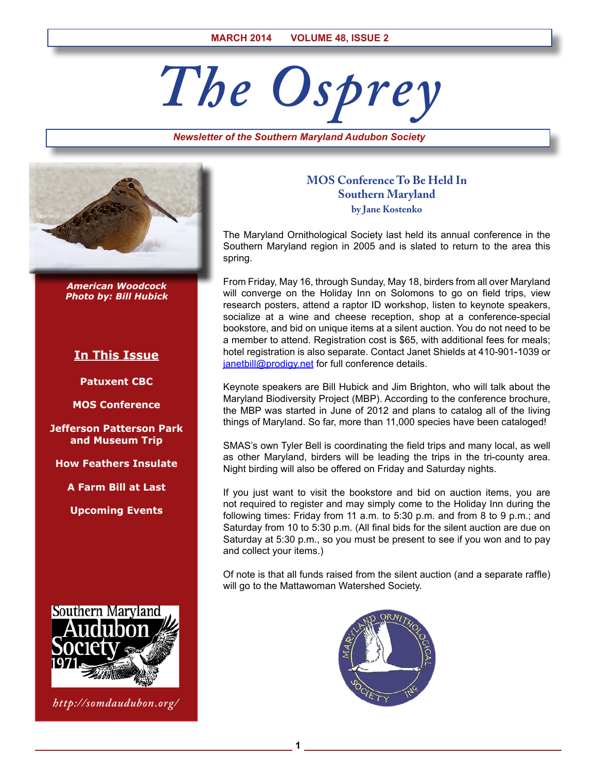# *The Osprey*

*Newsletter of the Southern Maryland Audubon Society*



*American Woodcock Photo by: Bill Hubick*

# **In This Issue**

**Patuxent CBC**

**MOS Conference**

**Jefferson Patterson Park and Museum Trip**

**How Feathers Insulate**

**A Farm Bill at Last**

**Upcoming Events**



*http://somdaudubon.org/*

# **MOS Conference To Be Held In Southern Maryland by Jane Kostenko**

The Maryland Ornithological Society last held its annual conference in the Southern Maryland region in 2005 and is slated to return to the area this spring.

From Friday, May 16, through Sunday, May 18, birders from all over Maryland will converge on the Holiday Inn on Solomons to go on field trips, view research posters, attend a raptor ID workshop, listen to keynote speakers, socialize at a wine and cheese reception, shop at a conference-special bookstore, and bid on unique items at a silent auction. You do not need to be a member to attend. Registration cost is \$65, with additional fees for meals; hotel registration is also separate. Contact Janet Shields at 410-901-1039 or [janetbill@prodigy.net](mailto:janetbill@prodigy.net) for full conference details.

Keynote speakers are Bill Hubick and Jim Brighton, who will talk about the Maryland Biodiversity Project (MBP). According to the conference brochure, the MBP was started in June of 2012 and plans to catalog all of the living things of Maryland. So far, more than 11,000 species have been cataloged!

SMAS's own Tyler Bell is coordinating the field trips and many local, as well as other Maryland, birders will be leading the trips in the tri-county area. Night birding will also be offered on Friday and Saturday nights.

If you just want to visit the bookstore and bid on auction items, you are not required to register and may simply come to the Holiday Inn during the following times: Friday from 11 a.m. to 5:30 p.m. and from 8 to 9 p.m.; and Saturday from 10 to 5:30 p.m. (All final bids for the silent auction are due on Saturday at 5:30 p.m., so you must be present to see if you won and to pay and collect your items.)

Of note is that all funds raised from the silent auction (and a separate raffle) will go to the Mattawoman Watershed Society.



**1**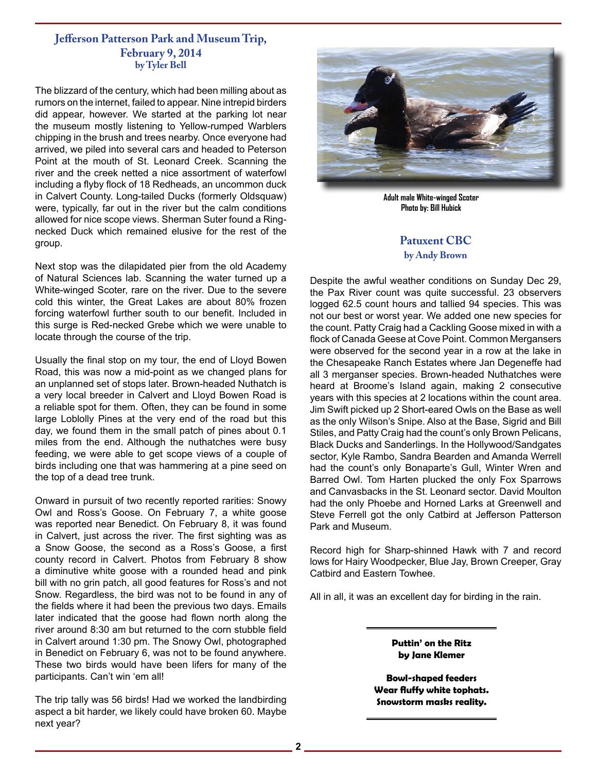# **Jefferson Patterson Park and Museum Trip, February 9, 2014 by Tyler Bell**

The blizzard of the century, which had been milling about as rumors on the internet, failed to appear. Nine intrepid birders did appear, however. We started at the parking lot near the museum mostly listening to Yellow-rumped Warblers chipping in the brush and trees nearby. Once everyone had arrived, we piled into several cars and headed to Peterson Point at the mouth of St. Leonard Creek. Scanning the river and the creek netted a nice assortment of waterfowl including a flyby flock of 18 Redheads, an uncommon duck in Calvert County. Long-tailed Ducks (formerly Oldsquaw) were, typically, far out in the river but the calm conditions allowed for nice scope views. Sherman Suter found a Ringnecked Duck which remained elusive for the rest of the group.

Next stop was the dilapidated pier from the old Academy of Natural Sciences lab. Scanning the water turned up a White-winged Scoter, rare on the river. Due to the severe cold this winter, the Great Lakes are about 80% frozen forcing waterfowl further south to our benefit. Included in this surge is Red-necked Grebe which we were unable to locate through the course of the trip.

Usually the final stop on my tour, the end of Lloyd Bowen Road, this was now a mid-point as we changed plans for an unplanned set of stops later. Brown-headed Nuthatch is a very local breeder in Calvert and Lloyd Bowen Road is a reliable spot for them. Often, they can be found in some large Loblolly Pines at the very end of the road but this day, we found them in the small patch of pines about 0.1 miles from the end. Although the nuthatches were busy feeding, we were able to get scope views of a couple of birds including one that was hammering at a pine seed on the top of a dead tree trunk.

Onward in pursuit of two recently reported rarities: Snowy Owl and Ross's Goose. On February 7, a white goose was reported near Benedict. On February 8, it was found in Calvert, just across the river. The first sighting was as a Snow Goose, the second as a Ross's Goose, a first county record in Calvert. Photos from February 8 show a diminutive white goose with a rounded head and pink bill with no grin patch, all good features for Ross's and not Snow. Regardless, the bird was not to be found in any of the fields where it had been the previous two days. Emails later indicated that the goose had flown north along the river around 8:30 am but returned to the corn stubble field in Calvert around 1:30 pm. The Snowy Owl, photographed in Benedict on February 6, was not to be found anywhere. These two birds would have been lifers for many of the participants. Can't win 'em all!

The trip tally was 56 birds! Had we worked the landbirding aspect a bit harder, we likely could have broken 60. Maybe next year?



**Adult male White-winged Scoter Photo by: Bill Hubick**

# **Patuxent CBC by Andy Brown**

Despite the awful weather conditions on Sunday Dec 29, the Pax River count was quite successful. 23 observers logged 62.5 count hours and tallied 94 species. This was not our best or worst year. We added one new species for the count. Patty Craig had a Cackling Goose mixed in with a flock of Canada Geese at Cove Point. Common Mergansers were observed for the second year in a row at the lake in the Chesapeake Ranch Estates where Jan Degeneffe had all 3 merganser species. Brown-headed Nuthatches were heard at Broome's Island again, making 2 consecutive years with this species at 2 locations within the count area. Jim Swift picked up 2 Short-eared Owls on the Base as well as the only Wilson's Snipe. Also at the Base, Sigrid and Bill Stiles, and Patty Craig had the count's only Brown Pelicans, Black Ducks and Sanderlings. In the Hollywood/Sandgates sector, Kyle Rambo, Sandra Bearden and Amanda Werrell had the count's only Bonaparte's Gull, Winter Wren and Barred Owl. Tom Harten plucked the only Fox Sparrows and Canvasbacks in the St. Leonard sector. David Moulton had the only Phoebe and Horned Larks at Greenwell and Steve Ferrell got the only Catbird at Jefferson Patterson Park and Museum.

Record high for Sharp-shinned Hawk with 7 and record lows for Hairy Woodpecker, Blue Jay, Brown Creeper, Gray Catbird and Eastern Towhee.

All in all, it was an excellent day for birding in the rain.

**Puttin' on the Ritz by Jane Klemer**

**Bowl-shaped feeders Wear fluffy white tophats. Snowstorm masks reality.**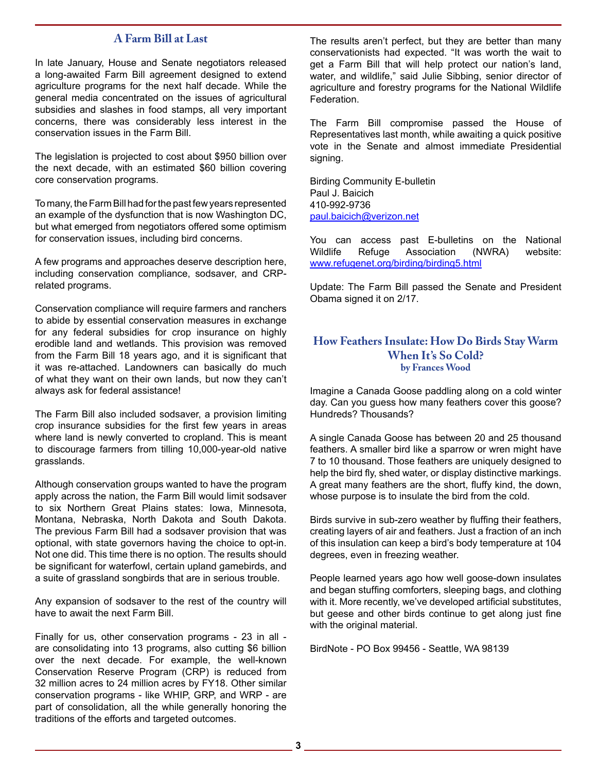# **A Farm Bill at Last**

In late January, House and Senate negotiators released a long-awaited Farm Bill agreement designed to extend agriculture programs for the next half decade. While the general media concentrated on the issues of agricultural subsidies and slashes in food stamps, all very important concerns, there was considerably less interest in the conservation issues in the Farm Bill.

The legislation is projected to cost about \$950 billion over the next decade, with an estimated \$60 billion covering core conservation programs.

To many, the Farm Bill had for the past few years represented an example of the dysfunction that is now Washington DC, but what emerged from negotiators offered some optimism for conservation issues, including bird concerns.

A few programs and approaches deserve description here, including conservation compliance, sodsaver, and CRPrelated programs.

Conservation compliance will require farmers and ranchers to abide by essential conservation measures in exchange for any federal subsidies for crop insurance on highly erodible land and wetlands. This provision was removed from the Farm Bill 18 years ago, and it is significant that it was re-attached. Landowners can basically do much of what they want on their own lands, but now they can't always ask for federal assistance!

The Farm Bill also included sodsaver, a provision limiting crop insurance subsidies for the first few years in areas where land is newly converted to cropland. This is meant to discourage farmers from tilling 10,000-year-old native grasslands.

Although conservation groups wanted to have the program apply across the nation, the Farm Bill would limit sodsaver to six Northern Great Plains states: Iowa, Minnesota, Montana, Nebraska, North Dakota and South Dakota. The previous Farm Bill had a sodsaver provision that was optional, with state governors having the choice to opt-in. Not one did. This time there is no option. The results should be significant for waterfowl, certain upland gamebirds, and a suite of grassland songbirds that are in serious trouble.

Any expansion of sodsaver to the rest of the country will have to await the next Farm Bill.

Finally for us, other conservation programs - 23 in all are consolidating into 13 programs, also cutting \$6 billion over the next decade. For example, the well-known Conservation Reserve Program (CRP) is reduced from 32 million acres to 24 million acres by FY18. Other similar conservation programs - like WHIP, GRP, and WRP - are part of consolidation, all the while generally honoring the traditions of the efforts and targeted outcomes.

The results aren't perfect, but they are better than many conservationists had expected. "It was worth the wait to get a Farm Bill that will help protect our nation's land, water, and wildlife," said Julie Sibbing, senior director of agriculture and forestry programs for the National Wildlife Federation.

The Farm Bill compromise passed the House of Representatives last month, while awaiting a quick positive vote in the Senate and almost immediate Presidential signing.

Birding Community E-bulletin Paul J. Baicich 410-992-9736 [paul.baicich@verizon.net](mailto:paul.baicich@verizon.net)

You can access past E-bulletins on the National Wildlife Refuge Association (NWRA) website: [www.refugenet.org/birding/birding5.html](http://www.refugenet.org/birding/birding5.html)

Update: The Farm Bill passed the Senate and President Obama signed it on 2/17.

# **How Feathers Insulate: How Do Birds Stay Warm When It's So Cold? by Frances Wood**

Imagine a Canada Goose paddling along on a cold winter day. Can you guess how many feathers cover this goose? Hundreds? Thousands?

A single Canada Goose has between 20 and 25 thousand feathers. A smaller bird like a sparrow or wren might have 7 to 10 thousand. Those feathers are uniquely designed to help the bird fly, shed water, or display distinctive markings. A great many feathers are the short, fluffy kind, the down, whose purpose is to insulate the bird from the cold.

Birds survive in sub-zero weather by fluffing their feathers, creating layers of air and feathers. Just a fraction of an inch of this insulation can keep a bird's body temperature at 104 degrees, even in freezing weather.

People learned years ago how well goose-down insulates and began stuffing comforters, sleeping bags, and clothing with it. More recently, we've developed artificial substitutes, but geese and other birds continue to get along just fine with the original material.

BirdNote - PO Box 99456 - Seattle, WA 98139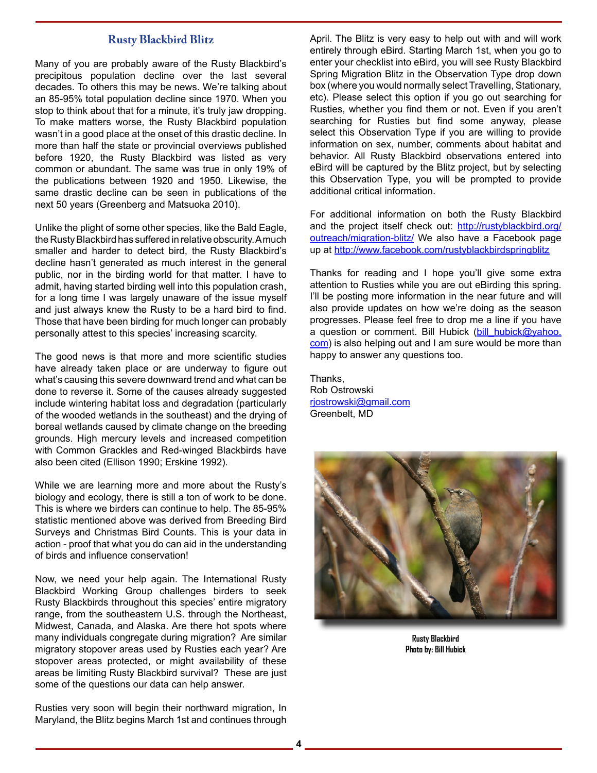# **Rusty Blackbird Blitz**

Many of you are probably aware of the Rusty Blackbird's precipitous population decline over the last several decades. To others this may be news. We're talking about an 85-95% total population decline since 1970. When you stop to think about that for a minute, it's truly jaw dropping. To make matters worse, the Rusty Blackbird population wasn't in a good place at the onset of this drastic decline. In more than half the state or provincial overviews published before 1920, the Rusty Blackbird was listed as very common or abundant. The same was true in only 19% of the publications between 1920 and 1950. Likewise, the same drastic decline can be seen in publications of the next 50 years (Greenberg and Matsuoka 2010).

Unlike the plight of some other species, like the Bald Eagle, the Rusty Blackbird has suffered in relative obscurity. A much smaller and harder to detect bird, the Rusty Blackbird's decline hasn't generated as much interest in the general public, nor in the birding world for that matter. I have to admit, having started birding well into this population crash, for a long time I was largely unaware of the issue myself and just always knew the Rusty to be a hard bird to find. Those that have been birding for much longer can probably personally attest to this species' increasing scarcity.

The good news is that more and more scientific studies have already taken place or are underway to figure out what's causing this severe downward trend and what can be done to reverse it. Some of the causes already suggested include wintering habitat loss and degradation (particularly of the wooded wetlands in the southeast) and the drying of boreal wetlands caused by climate change on the breeding grounds. High mercury levels and increased competition with Common Grackles and Red-winged Blackbirds have also been cited (Ellison 1990; Erskine 1992).

While we are learning more and more about the Rusty's biology and ecology, there is still a ton of work to be done. This is where we birders can continue to help. The 85-95% statistic mentioned above was derived from Breeding Bird Surveys and Christmas Bird Counts. This is your data in action - proof that what you do can aid in the understanding of birds and influence conservation!

Now, we need your help again. The International Rusty Blackbird Working Group challenges birders to seek Rusty Blackbirds throughout this species' entire migratory range, from the southeastern U.S. through the Northeast, Midwest, Canada, and Alaska. Are there hot spots where many individuals congregate during migration? Are similar migratory stopover areas used by Rusties each year? Are stopover areas protected, or might availability of these areas be limiting Rusty Blackbird survival? These are just some of the questions our data can help answer.

Rusties very soon will begin their northward migration, In Maryland, the Blitz begins March 1st and continues through

April. The Blitz is very easy to help out with and will work entirely through eBird. Starting March 1st, when you go to enter your checklist into eBird, you will see Rusty Blackbird Spring Migration Blitz in the Observation Type drop down box (where you would normally select Travelling, Stationary, etc). Please select this option if you go out searching for Rusties, whether you find them or not. Even if you aren't searching for Rusties but find some anyway, please select this Observation Type if you are willing to provide information on sex, number, comments about habitat and behavior. All Rusty Blackbird observations entered into eBird will be captured by the Blitz project, but by selecting this Observation Type, you will be prompted to provide additional critical information.

For additional information on both the Rusty Blackbird and the project itself check out: http://rustyblackbird.org/ outreach/migration-blitz/ We also have a Facebook page up at http://www.facebook.com/rustyblackbirdspringblitz

Thanks for reading and I hope you'll give some extra attention to Rusties while you are out eBirding this spring. I'll be posting more information in the near future and will also provide updates on how we're doing as the season progresses. Please feel free to drop me a line if you have a question or comment. Bill Hubick (bill hubick@yahoo. com) is also helping out and I am sure would be more than happy to answer any questions too.

Thanks, Rob Ostrowski rjostrowski@gmail.com Greenbelt, MD



**Rusty Blackbird Photo by: Bill Hubick**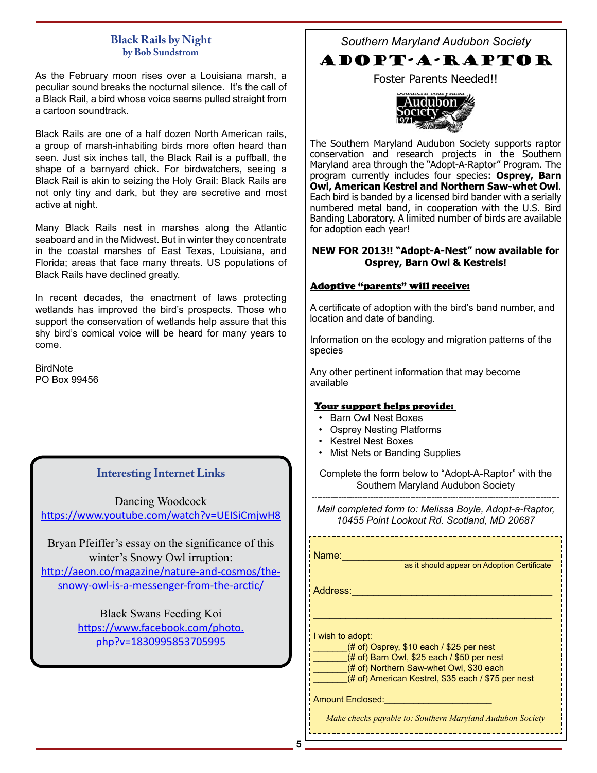# **Black Rails by Night by Bob Sundstrom**

As the February moon rises over a Louisiana marsh, a peculiar sound breaks the nocturnal silence. It's the call of a Black Rail, a bird whose voice seems pulled straight from a cartoon soundtrack.

Black Rails are one of a half dozen North American rails, a group of marsh-inhabiting birds more often heard than seen. Just six inches tall, the Black Rail is a puffball, the shape of a barnyard chick. For birdwatchers, seeing a Black Rail is akin to seizing the Holy Grail: Black Rails are not only tiny and dark, but they are secretive and most active at night.

Many Black Rails nest in marshes along the Atlantic seaboard and in the Midwest. But in winter they concentrate in the coastal marshes of East Texas, Louisiana, and Florida; areas that face many threats. US populations of Black Rails have declined greatly.

In recent decades, the enactment of laws protecting wetlands has improved the bird's prospects. Those who support the conservation of wetlands help assure that this shy bird's comical voice will be heard for many years to come.

BirdNote PO Box 99456

# **Interesting Internet Links**

Dancing Woodcock <https://www.youtube.com/watch?v=UEISiCmjwH8>

Bryan Pfeiffer's essay on the significance of this winter's Snowy Owl irruption: [http://aeon.co/magazine/nature-and-cosmos/the](http://aeon.co/magazine/nature-and-cosmos/the-snowy-owl-is-a-messenger-from-the-arctic/)[snowy-owl-is-a-messenger-from-the-arctic/](http://aeon.co/magazine/nature-and-cosmos/the-snowy-owl-is-a-messenger-from-the-arctic/)

> Black Swans Feeding Koi [https://www.facebook.com/photo.](https://www.facebook.com/photo.php?v=1830995853705995) [php?v=1830995853705995](https://www.facebook.com/photo.php?v=1830995853705995)

*Southern Maryland Audubon Society*

# ADOPT-A-RAPTOR

Foster Parents Needed!!



The Southern Maryland Audubon Society supports raptor conservation and research projects in the Southern Maryland area through the "Adopt-A-Raptor" Program. The program currently includes four species: **Osprey, Barn Owl, American Kestrel and Northern Saw-whet Owl**. Each bird is banded by a licensed bird bander with a serially numbered metal band, in cooperation with the U.S. Bird Banding Laboratory. A limited number of birds are available for adoption each year!

# **NEW FOR 2013!! "Adopt-A-Nest" now available for Osprey, Barn Owl & Kestrels!**

# Adoptive "parents" will receive:

A certificate of adoption with the bird's band number, and location and date of banding.

Information on the ecology and migration patterns of the species

Any other pertinent information that may become available

# Your support helps provide:

- Barn Owl Nest Boxes
- Osprey Nesting Platforms
- Kestrel Nest Boxes
- Mist Nets or Banding Supplies

Complete the form below to "Adopt-A-Raptor" with the Southern Maryland Audubon Society

--------------------------------------------------------------------------------------------- *Mail completed form to: Melissa Boyle, Adopt-a-Raptor, 10455 Point Lookout Rd. Scotland, MD 20687*

Name:\_\_\_\_\_\_\_\_\_\_\_\_\_\_\_\_\_\_\_\_\_\_\_\_\_\_\_\_\_\_\_\_\_\_\_\_\_\_\_

as it should appear on Adoption Certificate

Address:\_\_\_\_\_\_\_\_\_\_\_\_\_\_\_\_\_\_\_\_\_\_\_\_\_\_\_\_\_\_\_\_\_\_\_\_\_

I wish to adopt:

 $(# of)$  Osprey, \$10 each / \$25 per nest

(# of) Barn Owl, \$25 each / \$50 per nest

(# of) Northern Saw-whet Owl, \$30 each

(# of) American Kestrel, \$35 each / \$75 per nest

\_\_\_\_\_\_\_\_\_\_\_\_\_\_\_\_\_\_\_\_\_\_\_\_\_\_\_\_\_\_\_\_\_\_\_\_\_\_\_\_\_\_\_\_

Amount Enclosed:

*Make checks payable to: Southern Maryland Audubon Society*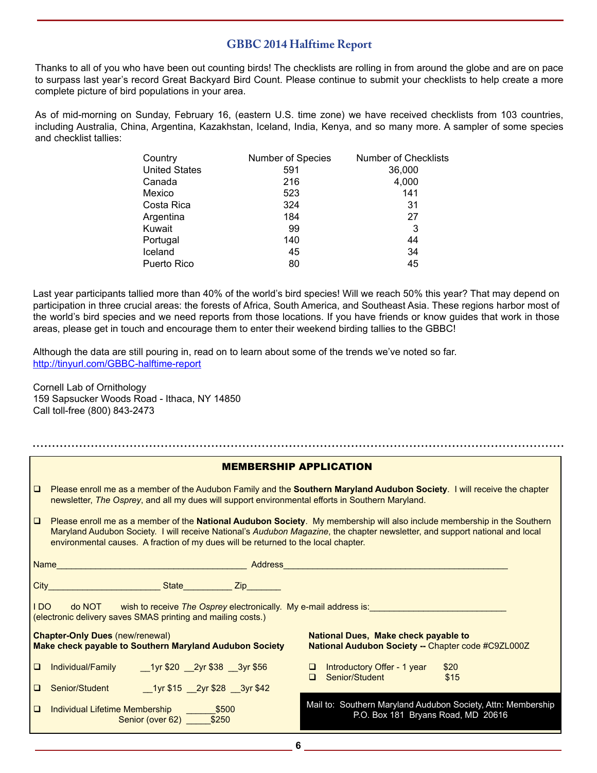# **GBBC 2014 Halftime Report**

Thanks to all of you who have been out counting birds! The checklists are rolling in from around the globe and are on pace to surpass last year's record Great Backyard Bird Count. Please continue to submit your checklists to help create a more complete picture of bird populations in your area.

As of mid-morning on Sunday, February 16, (eastern U.S. time zone) we have received checklists from 103 countries, including Australia, China, Argentina, Kazakhstan, Iceland, India, Kenya, and so many more. A sampler of some species and checklist tallies:

| Country              | Number of Species | <b>Number of Checklists</b> |
|----------------------|-------------------|-----------------------------|
| <b>United States</b> | 591               | 36,000                      |
| Canada               | 216               | 4,000                       |
| Mexico               | 523               | 141                         |
| Costa Rica           | 324               | 31                          |
| Argentina            | 184               | 27                          |
| Kuwait               | 99                | 3                           |
| Portugal             | 140               | 44                          |
| Iceland              | 45                | 34                          |
| Puerto Rico          | 80                | 45                          |

Last year participants tallied more than 40% of the world's bird species! Will we reach 50% this year? That may depend on participation in three crucial areas: the forests of Africa, South America, and Southeast Asia. These regions harbor most of the world's bird species and we need reports from those locations. If you have friends or know guides that work in those areas, please get in touch and encourage them to enter their weekend birding tallies to the GBBC!

Although the data are still pouring in, read on to learn about some of the trends we've noted so far. http://tinyurl.com/GBBC-halftime-report

Cornell Lab of Ornithology 159 Sapsucker Woods Road - Ithaca, NY 14850 Call toll-free (800) 843-2473

| <b>MEMBERSHIP APPLICATION</b>                                                                                                               |                                                                                                                                                                                                                                                                                                                                                |                                                                                                          |  |  |
|---------------------------------------------------------------------------------------------------------------------------------------------|------------------------------------------------------------------------------------------------------------------------------------------------------------------------------------------------------------------------------------------------------------------------------------------------------------------------------------------------|----------------------------------------------------------------------------------------------------------|--|--|
| $\Box$                                                                                                                                      | Please enroll me as a member of the Audubon Family and the Southern Maryland Audubon Society. I will receive the chapter<br>newsletter, The Osprey, and all my dues will support environmental efforts in Southern Maryland.                                                                                                                   |                                                                                                          |  |  |
| $\Box$                                                                                                                                      | Please enroll me as a member of the National Audubon Society. My membership will also include membership in the Southern<br>Maryland Audubon Society. I will receive National's Audubon Magazine, the chapter newsletter, and support national and local<br>environmental causes. A fraction of my dues will be returned to the local chapter. |                                                                                                          |  |  |
|                                                                                                                                             |                                                                                                                                                                                                                                                                                                                                                |                                                                                                          |  |  |
|                                                                                                                                             | <b>City City City City City City City City City City City City City</b>                                                                                                                                                                                                                                                                        |                                                                                                          |  |  |
| IDO do NOT wish to receive The Osprey electronically. My e-mail address is:<br>(electronic delivery saves SMAS printing and mailing costs.) |                                                                                                                                                                                                                                                                                                                                                |                                                                                                          |  |  |
| <b>Chapter-Only Dues (new/renewal)</b><br><b>Make check payable to Southern Maryland Audubon Society</b>                                    |                                                                                                                                                                                                                                                                                                                                                | <b>National Dues, Make check payable to</b><br><b>National Audubon Society -- Chapter code #C9ZL000Z</b> |  |  |
| $\Box$                                                                                                                                      | Individual/Family<br>1yr \$20 2yr \$38 3yr \$56                                                                                                                                                                                                                                                                                                | $\Box$ Introductory Offer - 1 year<br>\$20<br>Senior/Student<br>\$15<br>$\Box$                           |  |  |
| $\Box$                                                                                                                                      |                                                                                                                                                                                                                                                                                                                                                |                                                                                                          |  |  |
| $\Box$                                                                                                                                      | Individual Lifetime Membership ________ \$500<br>Senior (over 62) \$250                                                                                                                                                                                                                                                                        | Mail to: Southern Maryland Audubon Society, Attn: Membership<br>P.O. Box 181 Bryans Road, MD 20616       |  |  |